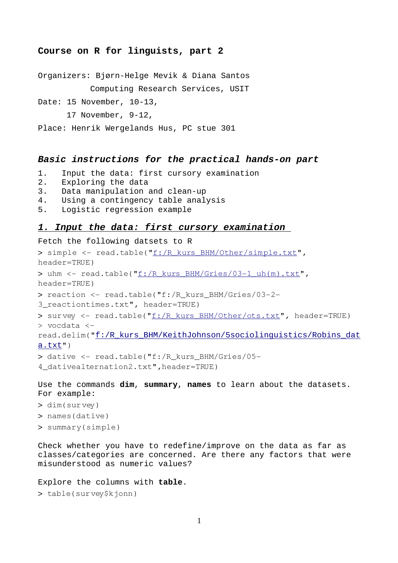# **Course on R for linguists, part 2**

Organizers: Bjørn-Helge Mevik & Diana Santos Computing Research Services, USIT

Date: 15 November, 10-13,

17 November, 9-12,

Place: Henrik Wergelands Hus, PC stue 301

# *Basic instructions for the practical hands-on part*

- 1. Input the data: first cursory examination
- 2. Exploring the data
- 3. Data manipulation and clean-up
- 4. Using a contingency table analysis
- 5. Logistic regression example

### *1. Input the data: first cursory examination*

### Fetch the following datsets to R

```
> simple <- read.table("f:/R kurs BHM/Other/simple.txt",
header=TRUE)
> uhm <- read.table("f:/R_kurs_BHM/Gries/03-1_uh(m).txt",
header=TRUE)
> reaction <- read.table("f: /R kurs BHM/Gries/03-2-
3_reactiontimes.txt", header=TRUE)
> survey <- read.table("f:/R_kurs_BHM/Other/ots.txt", header=TRUE)
> vocdata <
```
read.delim("f:/R kurs BHM/KeithJohnson/5sociolinguistics/Robins dat  $a.txt$ ")

> dative <- read.table("f:/R\_kurs\_BHM/Gries/05-4\_dativealternation2.txt",header=TRUE)

Use the commands **dim**, **summary**, **names** to learn about the datasets. For example:

- > dim(survey)
- > names(dative)
- > summary(simple)

Check whether you have to redefine/improve on the data as far as classes/categories are concerned. Are there any factors that were misunderstood as numeric values?

#### Explore the columns with **table**.

```
> table(survey$kjonn)
```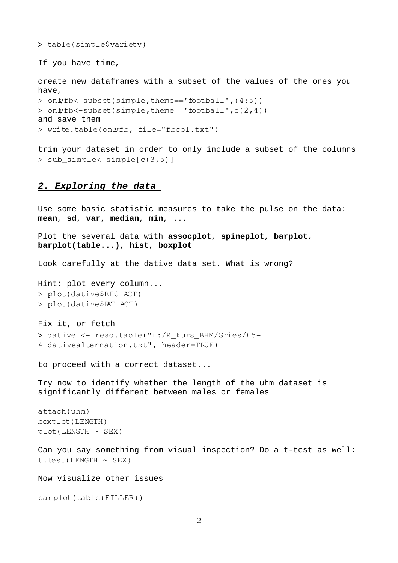> table(simple\$variety)

If you have time,

create new dataframes with a subset of the values of the ones you have,

```
> onlyfb<-subset(simple,theme=="football",(4:5))
> onlyfb<-subset(simple,theme=="football",c(2,4))
and save them
> write.table(onlyfb, file="fbcol.txt")
```
trim your dataset in order to only include a subset of the columns  $>$  sub simple $\leq$ -simple $[c(3,5)]$ 

## *2. Exploring the data*

Use some basic statistic measures to take the pulse on the data: **mean**, **sd**, **var**, **median**, **min**, ...

Plot the several data with **assocplot**, **spineplot**, **barplot**, **barplot(table...)**, **hist**, **boxplot**

Look carefully at the dative data set. What is wrong?

Hint: plot every column... > plot(dative\$REC\_ACT) > plot(dative\$PAT\_ACT)

Fix it, or fetch > dative <- read.table("f:/R kurs\_BHM/Gries/05-4\_dativealternation.txt", header=TRUE)

to proceed with a correct dataset...

Try now to identify whether the length of the uhm dataset is significantly different between males or females

attach(uhm) boxplot(LENGTH) plot(LENGTH ~ SEX)

Can you say something from visual inspection? Do a t-test as well:  $t.test(LENGTH ~ SEX)$ 

Now visualize other issues

barplot(table(FILLER))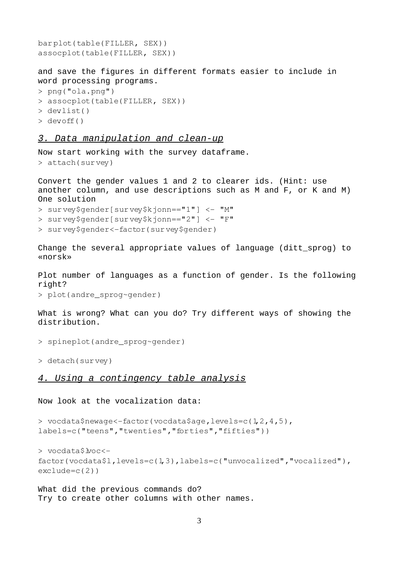```
barplot(table(FILLER, SEX))
assocplot(table(FILLER, SEX))
```
and save the figures in different formats easier to include in word processing programs.

```
> png("ola.png")
```

```
> assocplot(table(FILLER, SEX))
```

```
> dev.list()
```

```
> devoff()
```
# *3. Data manipulation and clean-up*

Now start working with the survey dataframe.

```
> attach(survey)
```
Convert the gender values 1 and 2 to clearer ids. (Hint: use another column, and use descriptions such as M and F, or K and M) One solution

```
> survey$gender[survey$kjonn=="1"] < "M"
```
> survey\$gender[survey\$kjonn=="2"] < "F"

> survey\$gender<-factor(survey\$gender)

Change the several appropriate values of language (ditt\_sprog) to «norsk»

Plot number of languages as a function of gender. Is the following right?

> plot(andre\_sprog~gender)

What is wrong? What can you do? Try different ways of showing the distribution.

```
> spineplot(andre_sprog~gender)
```
> detach(survey)

# *4. Using a contingency table analysis*

## Now look at the vocalization data:

```
> vocdata$newage<-factor(vocdata$age,levels=c(1,2,4,5),
labels=c("teens","twenties","forties","fifties"))
```

```
> vocdata$lvoc<
factor(vocdata$l,levels=c(1,3),labels=c("unvocalized","vocalized"),
exclude=c(2))
```
What did the previous commands do? Try to create other columns with other names.